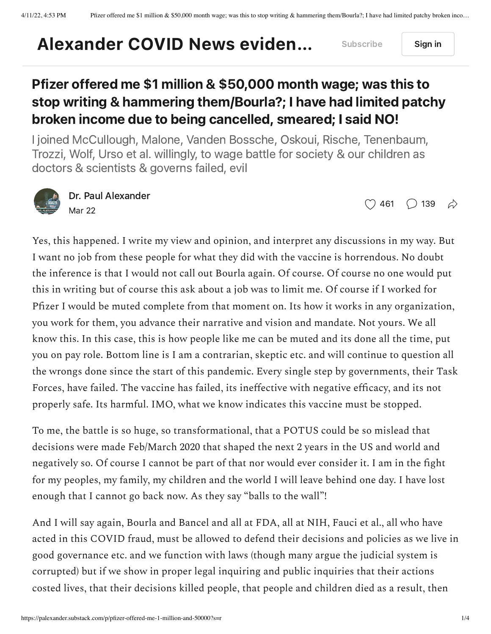## [Alexander](https://palexander.substack.com/) COVID News eviden... Subscribe Sign in

## Pfizer offered me \$1 million & \$50,000 month wage; was this to stop writing & hammering them/Bourla?; I have had limited patchy broken income due to being cancelled, smeared; I said NO!

I joined McCullough, Malone, Vanden Bossche, Oskoui, Rische, Tenenbaum, Trozzi, Wolf, Urso et al. willingly, to wage battle for society & our children as doctors & scientists & governs failed, evil



Dr. Paul [Alexander](https://substack.com/profile/58916651-dr-paul-alexander) Mar 22

 $\bigcirc$  [461](javascript:void(0))  $\bigcirc$  [139](https://palexander.substack.com/p/pfizer-offered-me-1-million-and-50000/comments)  $\leftrightarrow$ 

Yes, this happened. I write my view and opinion, and interpret any discussions in my way. But I want no job from these people for what they did with the vaccine is horrendous. No doubt the inference is that I would not call out Bourla again. Of course. Of course no one would put this in writing but of course this ask about a job was to limit me. Of course if I worked for Pfizer I would be muted complete from that moment on. Its how it works in any organization, you work for them, you advance their narrative and vision and mandate. Not yours. We all know this. In this case, this is how people like me can be muted and its done all the time, put you on pay role. Bottom line is I am a contrarian, skeptic etc. and will continue to question all the wrongs done since the start of this pandemic. Every single step by governments, their Task Forces, have failed. The vaccine has failed, its ineffective with negative efficacy, and its not properly safe. Its harmful. IMO, what we know indicates this vaccine must be stopped.

To me, the battle is so huge, so transformational, that a POTUS could be so mislead that decisions were made Feb/March 2020 that shaped the next 2 years in the US and world and negatively so. Of course I cannot be part of that nor would ever consider it. I am in the fight for my peoples, my family, my children and the world I will leave behind one day. I have lost enough that I cannot go back now. As they say "balls to the wall"!

And I will say again, Bourla and Bancel and all at FDA, all at NIH, Fauci et al., all who have acted in this COVID fraud, must be allowed to defend their decisions and policies as we live in good governance etc. and we function with laws (though many argue the judicial system is corrupted) but if we show in proper legal inquiring and public inquiries that their actions costed lives, that their decisions killed people, that people and children died as a result, then